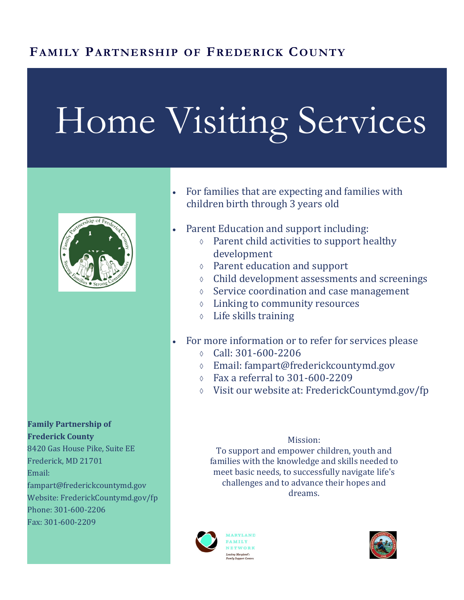## **FAMILY PARTNERSHIP OF FREDERICK COUNTY**

# Home Visiting Services



**Family Partnership of Frederick County** 8420 Gas House Pike, Suite EE Frederick, MD 21701 Email: fampart@frederickcountymd.gov Website: FrederickCountymd.gov/fp Phone: 301-600-2206 Fax: 301-600-2209

- For families that are expecting and families with children birth through 3 years old
- Parent Education and support including:
	- Parent child activities to support healthy development
	- Parent education and support
	- Child development assessments and screenings
	- $\Diamond$  Service coordination and case management
	- Linking to community resources
	- Life skills training
- For more information or to refer for services please
	- $\circ$  Call: 301-600-2206
	- Email: fampart@frederickcountymd.gov
	- $\circ$  Fax a referral to 301-600-2209
	- Visit our website at: FrederickCountymd.gov/fp

#### Mission:

To support and empower children, youth and families with the knowledge and skills needed to meet basic needs, to successfully navigate life's challenges and to advance their hopes and dreams.